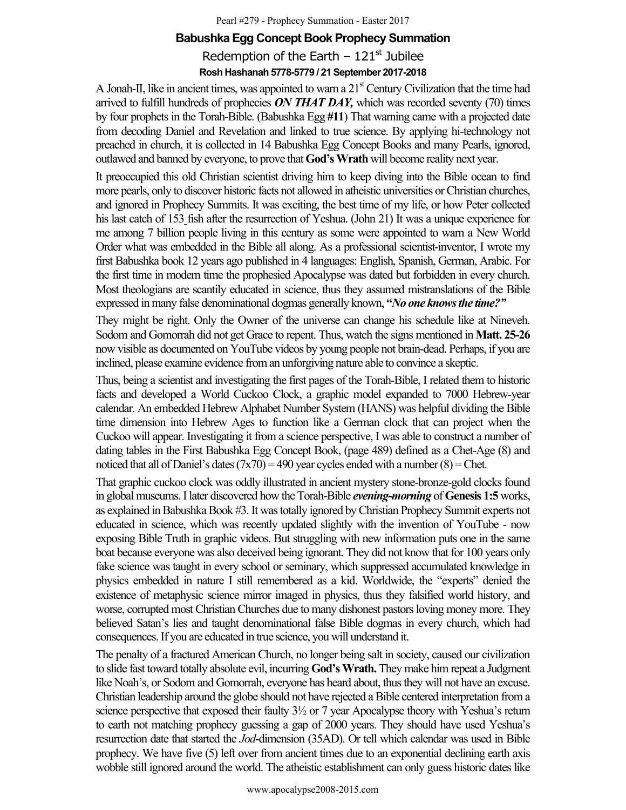## **Babushka Egg Concept Book Prophecy Summation**  Redemption of the Earth  $-121<sup>st</sup>$  Jubilee **Rosh Hashanah 5778-5779 / 21 September 2017-2018**

A Jonah-II, like in ancient times, was appointed to warn a  $21<sup>st</sup>$  Century Civilization that the time had arrived to fulfill hundreds of prophecies *ON THAT DAY,* which was recorded seventy (70) times by four prophets in the Torah-Bible. (Babushka Egg **#11**) That warning came with a projected date from decoding Daniel and Revelation and linked to true science. By applying hi-technology not preached in church, it is collected in 14 Babushka Egg Concept Books and many Pearls, ignored, outlawed and banned by everyone, to prove that **God's Wrath** will become reality next year.

It preoccupied this old Christian scientist driving him to keep diving into the Bible ocean to find more pearls, only to discover historic facts not allowed in atheistic universities or Christian churches, and ignored in Prophecy Summits. It was exciting, the best time of my life, or how Peter collected his last catch of 153 fish after the resurrection of Yeshua. (John 21) It was a unique experience for me among 7 billion people living in this century as some were appointed to warn a New World Order what was embedded in the Bible all along. As a professional scientist-inventor, I wrote my first Babushka book 12 years ago published in 4 languages: English, Spanish, German, Arabic. For the first time in modern time the prophesied Apocalypse was dated but forbidden in every church. Most theologians are scantily educated in science, thus they assumed mistranslations of the Bible expressed in many false denominational dogmas generally known, **"***No one knows the time?"*

They might be right. Only the Owner of the universe can change his schedule like at Nineveh. Sodom and Gomorrah did not get Grace to repent. Thus, watch the signs mentioned in **Matt. 25-26** now visible as documented on YouTube videos by young people not brain-dead. Perhaps, if you are inclined, please examine evidence from an unforgiving nature able to convince a skeptic.

Thus, being a scientist and investigating the first pages of the Torah-Bible, I related them to historic facts and developed a World Cuckoo Clock, a graphic model expanded to 7000 Hebrew-year calendar. An embedded Hebrew Alphabet Number System (HANS) was helpful dividing the Bible time dimension into Hebrew Ages to function like a German clock that can project when the Cuckoo will appear. Investigating it from a science perspective, I was able to construct a number of dating tables in the First Babushka Egg Concept Book, (page 489) defined as a Chet-Age (8) and noticed that all of Daniel's dates  $(7x70) = 490$  year cycles ended with a number  $(8)$  = Chet.

That graphic cuckoo clock was oddly illustrated in ancient mystery stone-bronze-gold clocks found in global museums. I later discovered how the Torah-Bible *evening-morning* of **Genesis 1:5** works, as explained in Babushka Book #3.It was totally ignored by Christian Prophecy Summit experts not educated in science, which was recently updated slightly with the invention of YouTube - now exposing Bible Truth in graphic videos. But struggling with new information puts one in the same boat because everyone was also deceived being ignorant. They did not know that for 100 years only fake science was taught in every school or seminary, which suppressed accumulated knowledge in physics embedded in nature I still remembered as a kid. Worldwide, the "experts" denied the existence of metaphysic science mirror imaged in physics, thus they falsified world history, and worse, corrupted most Christian Churches due to many dishonest pastors loving money more. They believed Satan's lies and taught denominational false Bible dogmas in every church, which had consequences. If you are educated in true science, you will understand it.

The penalty of a fractured American Church, no longer being salt in society, caused our civilization to slide fast toward totally absolute evil, incurring **God's Wrath.** They make him repeat a Judgment like Noah's, or Sodom and Gomorrah, everyone has heard about, thus they will not have an excuse. Christian leadership around the globe should not have rejected a Bible centered interpretation from a science perspective that exposed their faulty 3<sup>1</sup>/<sub>2</sub> or 7 year Apocalypse theory with Yeshua's return to earth not matching prophecy guessing a gap of 2000 years. They should have used Yeshua's resurrection date that started the *Jod*-dimension (35AD). Or tell which calendar was used in Bible prophecy. We have five (5) left over from ancient times due to an exponential declining earth axis wobble still ignored around the world. The atheistic establishment can only guess historic dates like